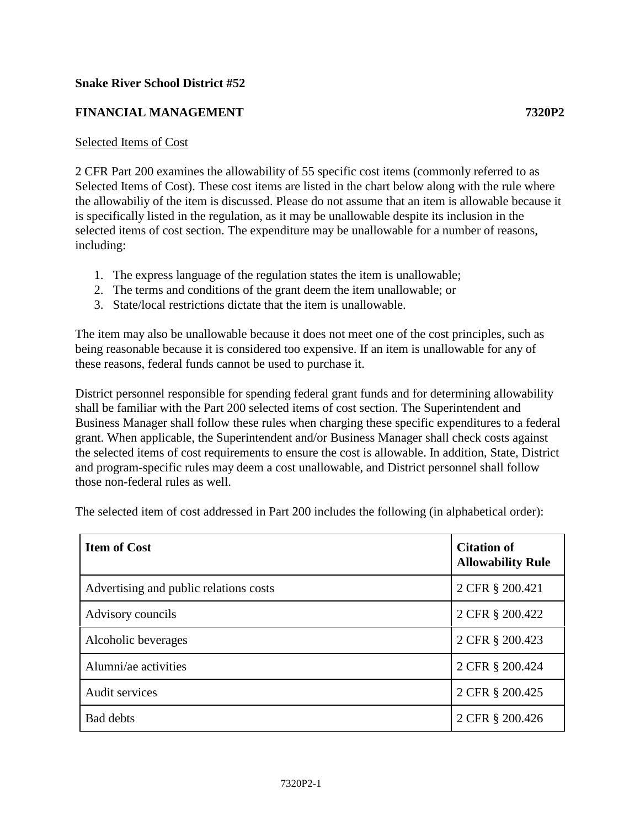## **Snake River School District #52**

## **FINANCIAL MANAGEMENT 7320P2**

## Selected Items of Cost

2 CFR Part 200 examines the allowability of 55 specific cost items (commonly referred to as Selected Items of Cost). These cost items are listed in the chart below along with the rule where the allowabiliy of the item is discussed. Please do not assume that an item is allowable because it is specifically listed in the regulation, as it may be unallowable despite its inclusion in the selected items of cost section. The expenditure may be unallowable for a number of reasons, including:

- 1. The express language of the regulation states the item is unallowable;
- 2. The terms and conditions of the grant deem the item unallowable; or
- 3. State/local restrictions dictate that the item is unallowable.

The item may also be unallowable because it does not meet one of the cost principles, such as being reasonable because it is considered too expensive. If an item is unallowable for any of these reasons, federal funds cannot be used to purchase it.

District personnel responsible for spending federal grant funds and for determining allowability shall be familiar with the Part 200 selected items of cost section. The Superintendent and Business Manager shall follow these rules when charging these specific expenditures to a federal grant. When applicable, the Superintendent and/or Business Manager shall check costs against the selected items of cost requirements to ensure the cost is allowable. In addition, State, District and program-specific rules may deem a cost unallowable, and District personnel shall follow those non-federal rules as well.

| <b>Item of Cost</b>                    | <b>Citation of</b><br><b>Allowability Rule</b> |
|----------------------------------------|------------------------------------------------|
| Advertising and public relations costs | 2 CFR § 200.421                                |
| Advisory councils                      | 2 CFR § 200.422                                |
| Alcoholic beverages                    | 2 CFR § 200.423                                |
| Alumni/ae activities                   | 2 CFR § 200.424                                |
| Audit services                         | 2 CFR § 200.425                                |
| <b>Bad debts</b>                       | 2 CFR § 200.426                                |

The selected item of cost addressed in Part 200 includes the following (in alphabetical order):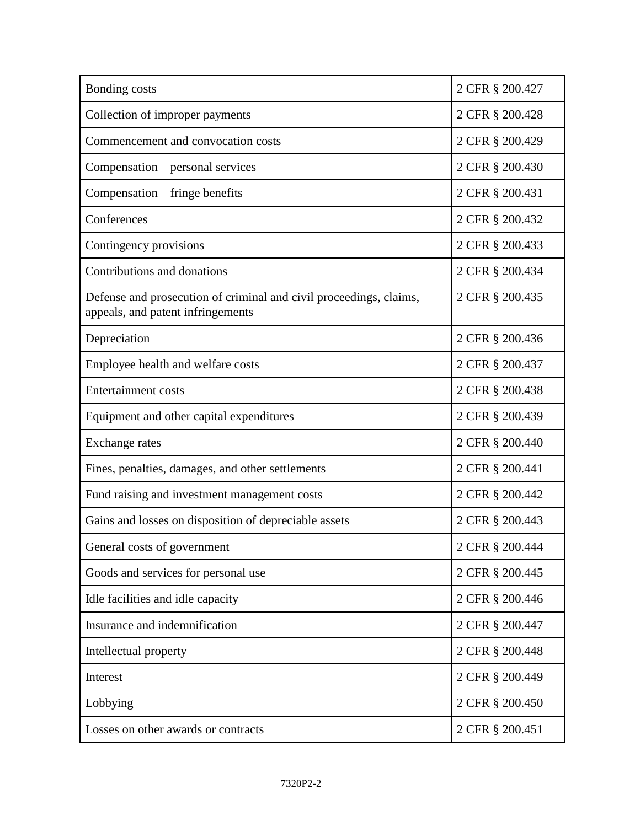| Bonding costs                                                                                           | 2 CFR § 200.427 |
|---------------------------------------------------------------------------------------------------------|-----------------|
| Collection of improper payments                                                                         | 2 CFR § 200.428 |
| Commencement and convocation costs                                                                      | 2 CFR § 200.429 |
| Compensation – personal services                                                                        | 2 CFR § 200.430 |
| Compensation – fringe benefits                                                                          | 2 CFR § 200.431 |
| Conferences                                                                                             | 2 CFR § 200.432 |
| Contingency provisions                                                                                  | 2 CFR § 200.433 |
| Contributions and donations                                                                             | 2 CFR § 200.434 |
| Defense and prosecution of criminal and civil proceedings, claims,<br>appeals, and patent infringements | 2 CFR § 200.435 |
| Depreciation                                                                                            | 2 CFR § 200.436 |
| Employee health and welfare costs                                                                       | 2 CFR § 200.437 |
| <b>Entertainment costs</b>                                                                              | 2 CFR § 200.438 |
| Equipment and other capital expenditures                                                                | 2 CFR § 200.439 |
| Exchange rates                                                                                          | 2 CFR § 200.440 |
| Fines, penalties, damages, and other settlements                                                        | 2 CFR § 200.441 |
| Fund raising and investment management costs                                                            | 2 CFR § 200.442 |
| Gains and losses on disposition of depreciable assets                                                   | 2 CFR § 200.443 |
| General costs of government                                                                             | 2 CFR § 200.444 |
| Goods and services for personal use                                                                     | 2 CFR § 200.445 |
| Idle facilities and idle capacity                                                                       | 2 CFR § 200.446 |
| Insurance and indemnification                                                                           | 2 CFR § 200.447 |
| Intellectual property                                                                                   | 2 CFR § 200.448 |
| Interest                                                                                                | 2 CFR § 200.449 |
| Lobbying                                                                                                | 2 CFR § 200.450 |
| Losses on other awards or contracts                                                                     | 2 CFR § 200.451 |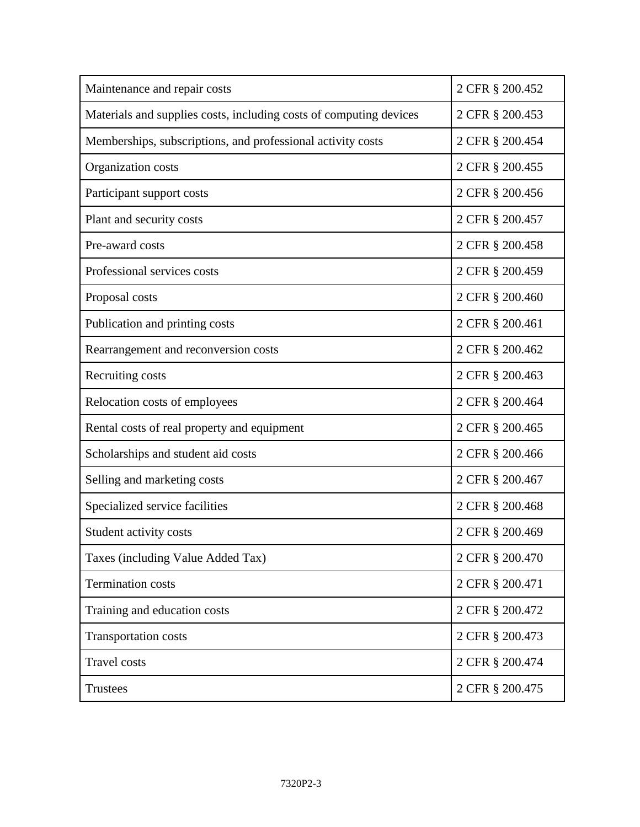| Maintenance and repair costs                                       | 2 CFR § 200.452 |
|--------------------------------------------------------------------|-----------------|
| Materials and supplies costs, including costs of computing devices | 2 CFR § 200.453 |
| Memberships, subscriptions, and professional activity costs        | 2 CFR § 200.454 |
| Organization costs                                                 | 2 CFR § 200.455 |
| Participant support costs                                          | 2 CFR § 200.456 |
| Plant and security costs                                           | 2 CFR § 200.457 |
| Pre-award costs                                                    | 2 CFR § 200.458 |
| Professional services costs                                        | 2 CFR § 200.459 |
| Proposal costs                                                     | 2 CFR § 200.460 |
| Publication and printing costs                                     | 2 CFR § 200.461 |
| Rearrangement and reconversion costs                               | 2 CFR § 200.462 |
| Recruiting costs                                                   | 2 CFR § 200.463 |
| Relocation costs of employees                                      | 2 CFR § 200.464 |
| Rental costs of real property and equipment                        | 2 CFR § 200.465 |
| Scholarships and student aid costs                                 | 2 CFR § 200.466 |
| Selling and marketing costs                                        | 2 CFR § 200.467 |
| Specialized service facilities                                     | 2 CFR § 200.468 |
| Student activity costs                                             | 2 CFR § 200.469 |
| Taxes (including Value Added Tax)                                  | 2 CFR § 200.470 |
| <b>Termination costs</b>                                           | 2 CFR § 200.471 |
| Training and education costs                                       | 2 CFR § 200.472 |
| <b>Transportation costs</b>                                        | 2 CFR § 200.473 |
| <b>Travel</b> costs                                                | 2 CFR § 200.474 |
| Trustees                                                           | 2 CFR § 200.475 |